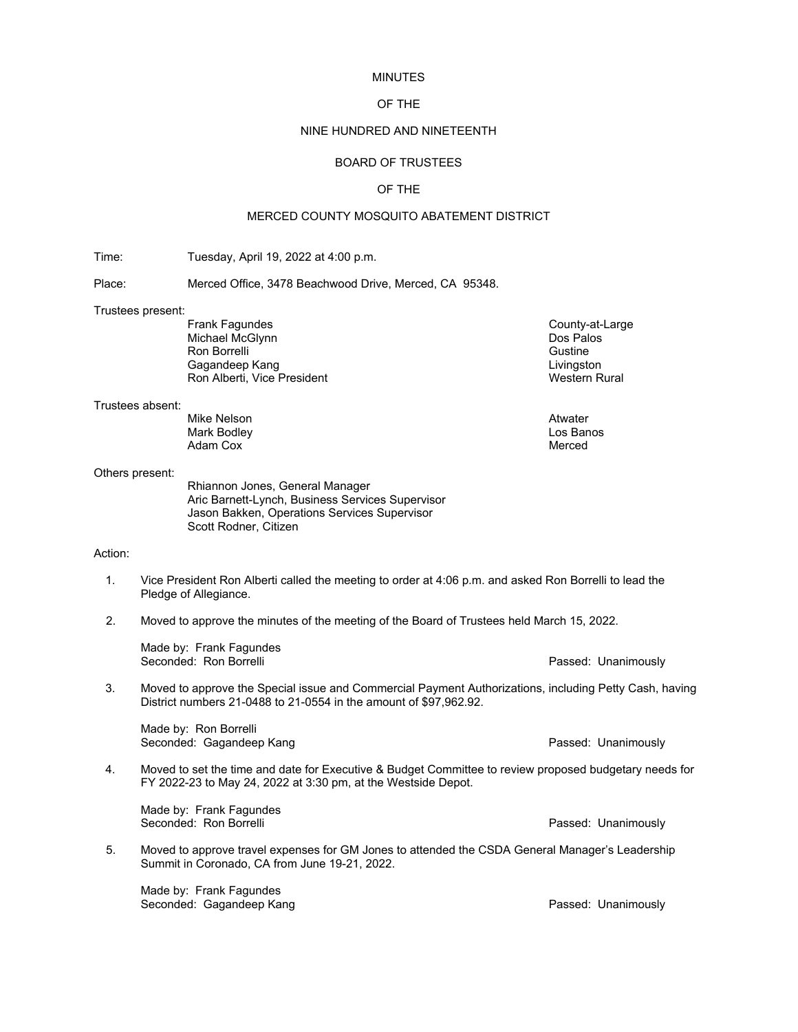### MINUTES

# OF THE

# NINE HUNDRED AND NINETEENTH

## BOARD OF TRUSTEES

### OF THE

## MERCED COUNTY MOSQUITO ABATEMENT DISTRICT

Time: Tuesday, April 19, 2022 at 4:00 p.m.

Place: Merced Office, 3478 Beachwood Drive, Merced, CA 95348.

# Trustees present:

Michael McGlynn Dos Palos Ron Borrelli (Santa Controlleri School School School School School School School School School School School S<br>Calculation Capacity (Guide School School School School School School School School School School School Schoo<br> Gagandeep Kang Ron Alberti, Vice President Western Rural

#### Trustees absent:

Mike Nelson Atwater Mark Bodley **Los Bandes (1998)**<br>Adam Cox Adam Cox

## Others present:

Rhiannon Jones, General Manager Aric Barnett-Lynch, Business Services Supervisor Jason Bakken, Operations Services Supervisor Scott Rodner, Citizen

### Action:

- 1. Vice President Ron Alberti called the meeting to order at 4:06 p.m. and asked Ron Borrelli to lead the Pledge of Allegiance.
- 2. Moved to approve the minutes of the meeting of the Board of Trustees held March 15, 2022.

| Made by: Frank Fagundes |                     |
|-------------------------|---------------------|
| Seconded: Ron Borrelli  | Passed: Unanimously |

3. Moved to approve the Special issue and Commercial Payment Authorizations, including Petty Cash, having District numbers 21-0488 to 21-0554 in the amount of \$97,962.92.

Made by: Ron Borrelli Seconded: Gagandeep Kang Passed: Unanimously

4. Moved to set the time and date for Executive & Budget Committee to review proposed budgetary needs for FY 2022-23 to May 24, 2022 at 3:30 pm, at the Westside Depot.

Made by: Frank Fagundes<br>Seconded: Ron Borrelli

5. Moved to approve travel expenses for GM Jones to attended the CSDA General Manager's Leadership Summit in Coronado, CA from June 19-21, 2022.

Made by: Frank Fagundes Seconded: Gagandeep Kang Passed: Unanimously

County-at-Large<br>Dos Palos

Passed: Unanimously